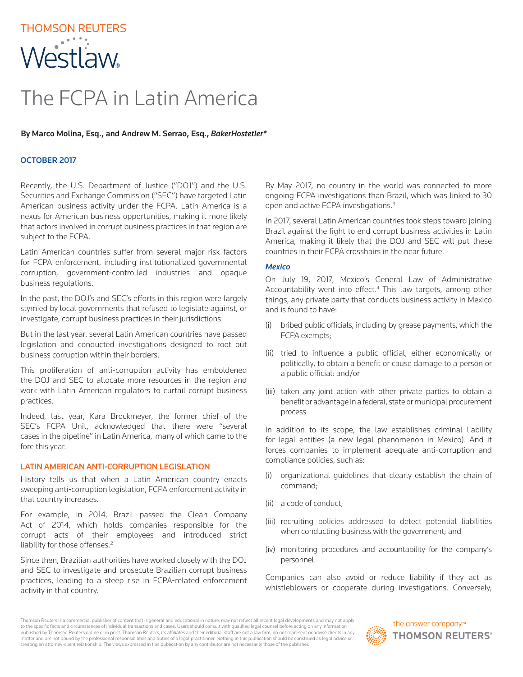# THOMSON REUTERS **Westlaw**

# The FCPA in Latin America

#### By Marco Molina, Esq., and Andrew M. Serrao, Esq., *BakerHostetler\**

# OCTOBER 2017

Recently, the U.S. Department of Justice ("DOJ") and the U.S. Securities and Exchange Commission ("SEC") have targeted Latin American business activity under the FCPA. Latin America is a nexus for American business opportunities, making it more likely that actors involved in corrupt business practices in that region are subject to the FCPA.

Latin American countries suffer from several major risk factors for FCPA enforcement, including institutionalized governmental corruption, government-controlled industries and opaque business regulations.

In the past, the DOJ's and SEC's efforts in this region were largely stymied by local governments that refused to legislate against, or investigate, corrupt business practices in their jurisdictions.

But in the last year, several Latin American countries have passed legislation and conducted investigations designed to root out business corruption within their borders.

This proliferation of anti-corruption activity has emboldened the DOJ and SEC to allocate more resources in the region and work with Latin American regulators to curtail corrupt business practices.

Indeed, last year, Kara Brockmeyer, the former chief of the SEC's FCPA Unit, acknowledged that there were "several cases in the pipeline" in Latin America,<sup>1</sup> many of which came to the fore this year.

#### LATIN AMERICAN ANTI-CORRUPTION LEGISLATION

History tells us that when a Latin American country enacts sweeping anti-corruption legislation, FCPA enforcement activity in that country increases.

For example, in 2014, Brazil passed the Clean Company Act of 2014, which holds companies responsible for the corrupt acts of their employees and introduced strict liability for those offenses.<sup>2</sup>

Since then, Brazilian authorities have worked closely with the DOJ and SEC to investigate and prosecute Brazilian corrupt business practices, leading to a steep rise in FCPA-related enforcement activity in that country.

By May 2017, no country in the world was connected to more ongoing FCPA investigations than Brazil, which was linked to 30 open and active FCPA investigations.3

In 2017, several Latin American countries took steps toward joining Brazil against the fight to end corrupt business activities in Latin America, making it likely that the DOJ and SEC will put these countries in their FCPA crosshairs in the near future.

#### *Mexico*

On July 19, 2017, Mexico's General Law of Administrative Accountability went into effect.<sup>4</sup> This law targets, among other things, any private party that conducts business activity in Mexico and is found to have:

- (i) bribed public officials, including by grease payments, which the FCPA exempts;
- (ii) tried to influence a public official, either economically or politically, to obtain a benefit or cause damage to a person or a public official; and/or
- (iii) taken any joint action with other private parties to obtain a benefit or advantage in a federal, state or municipal procurement process.

In addition to its scope, the law establishes criminal liability for legal entities (a new legal phenomenon in Mexico). And it forces companies to implement adequate anti-corruption and compliance policies, such as:

- (i) organizational guidelines that clearly establish the chain of command;
- (ii) a code of conduct;
- (iii) recruiting policies addressed to detect potential liabilities when conducting business with the government; and
- (iv) monitoring procedures and accountability for the company's personnel.

Companies can also avoid or reduce liability if they act as whistleblowers or cooperate during investigations. Conversely,

Thomson Reuters is a commercial publisher of content that is general and educational in nature, may not reflect all recent legal developments and may not apply to the specific facts and circumstances of individual transactions and cases. Users should consult with qualified legal counsel before acting on any information published by Thomson Reuters online or in print. Thomson Reuters, its affiliates and their editorial staff are not a law firm, do not represent or advise clients in any matter and are not bound by the professional responsibilities and duties of a legal practitioner. Nothing in this publication should be construed as legal advice or creating an attorney-client relationship. The views expressed in this publication by any contributor are not necessarily those of the publisher.

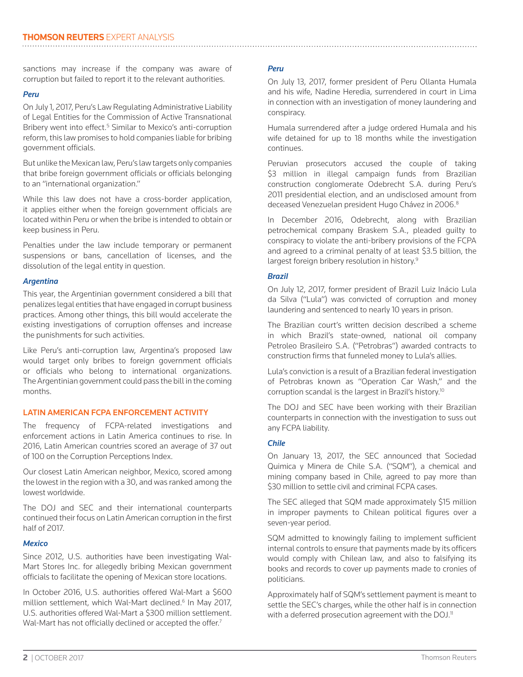sanctions may increase if the company was aware of corruption but failed to report it to the relevant authorities.

#### *Peru*

On July 1, 2017, Peru's Law Regulating Administrative Liability of Legal Entities for the Commission of Active Transnational Bribery went into effect.<sup>5</sup> Similar to Mexico's anti-corruption reform, this law promises to hold companies liable for bribing government officials.

But unlike the Mexican law, Peru's law targets only companies that bribe foreign government officials or officials belonging to an "international organization."

While this law does not have a cross-border application, it applies either when the foreign government officials are located within Peru or when the bribe is intended to obtain or keep business in Peru.

Penalties under the law include temporary or permanent suspensions or bans, cancellation of licenses, and the dissolution of the legal entity in question.

#### *Argentina*

This year, the Argentinian government considered a bill that penalizes legal entities that have engaged in corrupt business practices. Among other things, this bill would accelerate the existing investigations of corruption offenses and increase the punishments for such activities.

Like Peru's anti-corruption law, Argentina's proposed law would target only bribes to foreign government officials or officials who belong to international organizations. The Argentinian government could pass the bill in the coming months.

#### LATIN AMERICAN FCPA ENFORCEMENT ACTIVITY

The frequency of FCPA-related investigations and enforcement actions in Latin America continues to rise. In 2016, Latin American countries scored an average of 37 out of 100 on the Corruption Perceptions Index.

Our closest Latin American neighbor, Mexico, scored among the lowest in the region with a 30, and was ranked among the lowest worldwide.

The DOJ and SEC and their international counterparts continued their focus on Latin American corruption in the first half of 2017.

#### *Mexico*

Since 2012, U.S. authorities have been investigating Wal-Mart Stores Inc. for allegedly bribing Mexican government officials to facilitate the opening of Mexican store locations.

In October 2016, U.S. authorities offered Wal-Mart a \$600 million settlement, which Wal-Mart declined.<sup>6</sup> In May 2017, U.S. authorities offered Wal-Mart a \$300 million settlement. Wal-Mart has not officially declined or accepted the offer.<sup>7</sup>

# *Peru*

On July 13, 2017, former president of Peru Ollanta Humala and his wife, Nadine Heredia, surrendered in court in Lima in connection with an investigation of money laundering and conspiracy.

Humala surrendered after a judge ordered Humala and his wife detained for up to 18 months while the investigation continues.

Peruvian prosecutors accused the couple of taking \$3 million in illegal campaign funds from Brazilian construction conglomerate Odebrecht S.A. during Peru's 2011 presidential election, and an undisclosed amount from deceased Venezuelan president Hugo Chávez in 2006.<sup>8</sup>

In December 2016, Odebrecht, along with Brazilian petrochemical company Braskem S.A., pleaded guilty to conspiracy to violate the anti-bribery provisions of the FCPA and agreed to a criminal penalty of at least \$3.5 billion, the largest foreign bribery resolution in history.9

# *Brazil*

On July 12, 2017, former president of Brazil Luiz Inácio Lula da Silva ("Lula") was convicted of corruption and money laundering and sentenced to nearly 10 years in prison.

The Brazilian court's written decision described a scheme in which Brazil's state-owned, national oil company Petroleo Brasileiro S.A. ("Petrobras") awarded contracts to construction firms that funneled money to Lula's allies.

Lula's conviction is a result of a Brazilian federal investigation of Petrobras known as "Operation Car Wash," and the corruption scandal is the largest in Brazil's history.10

The DOJ and SEC have been working with their Brazilian counterparts in connection with the investigation to suss out any FCPA liability.

# *Chile*

On January 13, 2017, the SEC announced that Sociedad Quimica y Minera de Chile S.A. ("SQM"), a chemical and mining company based in Chile, agreed to pay more than \$30 million to settle civil and criminal FCPA cases.

The SEC alleged that SQM made approximately \$15 million in improper payments to Chilean political figures over a seven-year period.

SQM admitted to knowingly failing to implement sufficient internal controls to ensure that payments made by its officers would comply with Chilean law, and also to falsifying its books and records to cover up payments made to cronies of politicians.

Approximately half of SQM's settlement payment is meant to settle the SEC's charges, while the other half is in connection with a deferred prosecution agreement with the DOJ.<sup>11</sup>